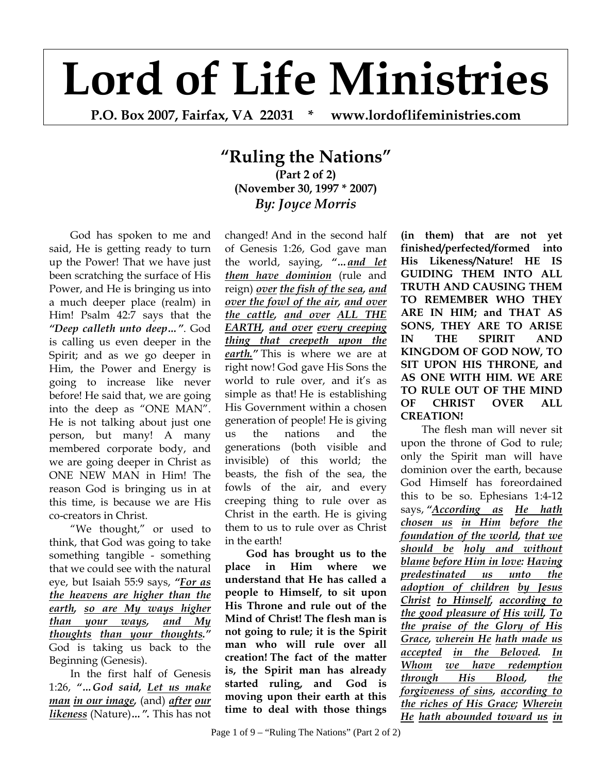## **Lord of Life Ministries**

**P.O. Box 2007, Fairfax, VA 22031 \* www.lordoflifeministries.com** 

## **"Ruling the Nations" (Part 2 of 2) (November 30, 1997 \* 2007)** *By: Joyce Morris*

God has spoken to me and said, He is getting ready to turn up the Power! That we have just been scratching the surface of His Power, and He is bringing us into a much deeper place (realm) in Him! Psalm 42:7 says that the *"Deep calleth unto deep…"*. God is calling us even deeper in the Spirit; and as we go deeper in Him, the Power and Energy is going to increase like never before! He said that, we are going into the deep as "ONE MAN". He is not talking about just one person, but many! A many membered corporate body, and we are going deeper in Christ as ONE NEW MAN in Him! The reason God is bringing us in at this time, is because we are His co-creators in Christ.

"We thought," or used to think, that God was going to take something tangible - something that we could see with the natural eye, but Isaiah 55:9 says, *"For as the heavens are higher than the earth, so are My ways higher than your ways, and My thoughts than your thoughts."* God is taking us back to the Beginning (Genesis).

In the first half of Genesis 1:26, *"…God said, Let us make man in our image,* (and) *after our likeness* (Nature)*…".* This has not

changed! And in the second half of Genesis 1:26, God gave man the world, saying, *"…and let them have dominion* (rule and reign) *over the fish of the sea, and over the fowl of the air, and over the cattle, and over ALL THE EARTH, and over every creeping thing that creepeth upon the earth."* This is where we are at right now! God gave His Sons the world to rule over, and it's as simple as that! He is establishing His Government within a chosen generation of people! He is giving us the nations and the generations (both visible and invisible) of this world; the beasts, the fish of the sea, the fowls of the air, and every creeping thing to rule over as Christ in the earth. He is giving them to us to rule over as Christ in the earth!

**God has brought us to the place in Him where we understand that He has called a people to Himself, to sit upon His Throne and rule out of the Mind of Christ! The flesh man is not going to rule; it is the Spirit man who will rule over all creation! The fact of the matter is, the Spirit man has already started ruling, and God is moving upon their earth at this time to deal with those things** 

**(in them) that are not yet finished/perfected/formed into His Likeness/Nature! HE IS GUIDING THEM INTO ALL TRUTH AND CAUSING THEM TO REMEMBER WHO THEY ARE IN HIM; and THAT AS SONS, THEY ARE TO ARISE IN THE SPIRIT AND KINGDOM OF GOD NOW, TO SIT UPON HIS THRONE, and AS ONE WITH HIM. WE ARE TO RULE OUT OF THE MIND OF CHRIST OVER ALL CREATION!**

The flesh man will never sit upon the throne of God to rule; only the Spirit man will have dominion over the earth, because God Himself has foreordained this to be so. Ephesians 1:4-12 says, *"According as He hath chosen us in Him before the foundation of the world, that we should be holy and without blame before Him in love: Having predestinated us unto the adoption of children by Jesus Christ to Himself, according to the good pleasure of His will, To the praise of the Glory of His Grace, wherein He hath made us accepted in the Beloved. In Whom we have redemption through His Blood, the forgiveness of sins, according to the riches of His Grace; Wherein He hath abounded toward us in*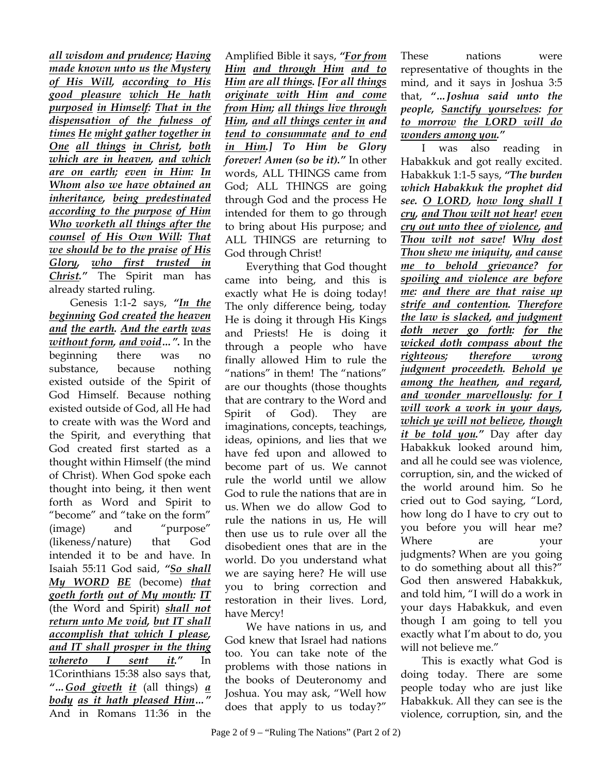*all wisdom and prudence; Having made known unto us the Mystery of His Will, according to His good pleasure which He hath purposed in Himself: That in the dispensation of the fulness of times He might gather together in One all things in Christ, both which are in heaven, and which are on earth; even in Him: In Whom also we have obtained an inheritance, being predestinated according to the purpose of Him Who worketh all things after the counsel of His Own Will: That we should be to the praise of His Glory, who first trusted in Christ."* The Spirit man has already started ruling.

Genesis 1:1-2 says, *"In the beginning God created the heaven and the earth. And the earth was without form, and void…".* In the beginning there was no substance, because nothing existed outside of the Spirit of God Himself. Because nothing existed outside of God, all He had to create with was the Word and the Spirit, and everything that God created first started as a thought within Himself (the mind of Christ). When God spoke each thought into being, it then went forth as Word and Spirit to "become" and "take on the form" (image) and "purpose" (likeness/nature) that God intended it to be and have. In Isaiah 55:11 God said, *"So shall My WORD BE* (become) *that goeth forth out of My mouth: IT*  (the Word and Spirit) *shall not return unto Me void, but IT shall accomplish that which I please, and IT shall prosper in the thing whereto I sent it."* In 1Corinthians 15:38 also says that, *"…God giveth it* (all things) *a body as it hath pleased Him…"* And in Romans 11:36 in the

Amplified Bible it says, *"For from Him and through Him and to Him are all things. [For all things originate with Him and come from Him; all things live through Him, and all things center in and tend to consummate and to end in Him.] To Him be Glory forever! Amen (so be it)."* In other words, ALL THINGS came from God; ALL THINGS are going through God and the process He intended for them to go through to bring about His purpose; and ALL THINGS are returning to God through Christ!

Everything that God thought came into being, and this is exactly what He is doing today! The only difference being, today He is doing it through His Kings and Priests! He is doing it through a people who have finally allowed Him to rule the "nations" in them! The "nations" are our thoughts (those thoughts that are contrary to the Word and Spirit of God). They are imaginations, concepts, teachings, ideas, opinions, and lies that we have fed upon and allowed to become part of us. We cannot rule the world until we allow God to rule the nations that are in us. When we do allow God to rule the nations in us, He will then use us to rule over all the disobedient ones that are in the world. Do you understand what we are saying here? He will use you to bring correction and restoration in their lives. Lord, have Mercy!

We have nations in us, and God knew that Israel had nations too. You can take note of the problems with those nations in the books of Deuteronomy and Joshua. You may ask, "Well how does that apply to us today?"

These nations were representative of thoughts in the mind, and it says in Joshua 3:5 that, *"…Joshua said unto the people, Sanctify yourselves: for to morrow the LORD will do wonders among you."*

I was also reading in Habakkuk and got really excited. Habakkuk 1:1-5 says, *"The burden which Habakkuk the prophet did see. O LORD, how long shall I cry, and Thou wilt not hear! even cry out unto thee of violence, and Thou wilt not save! Why dost Thou shew me iniquity, and cause me to behold grievance? for spoiling and violence are before me: and there are that raise up strife and contention. Therefore the law is slacked, and judgment doth never go forth: for the wicked doth compass about the righteous; therefore wrong judgment proceedeth. Behold ye among the heathen, and regard, and wonder marvellously: for I will work a work in your days, which ye will not believe, though it be told you."* Day after day Habakkuk looked around him, and all he could see was violence, corruption, sin, and the wicked of the world around him. So he cried out to God saying, "Lord, how long do I have to cry out to you before you will hear me? Where are your judgments? When are you going to do something about all this?" God then answered Habakkuk, and told him, "I will do a work in your days Habakkuk, and even though I am going to tell you exactly what I'm about to do, you will not believe me."

This is exactly what God is doing today. There are some people today who are just like Habakkuk. All they can see is the violence, corruption, sin, and the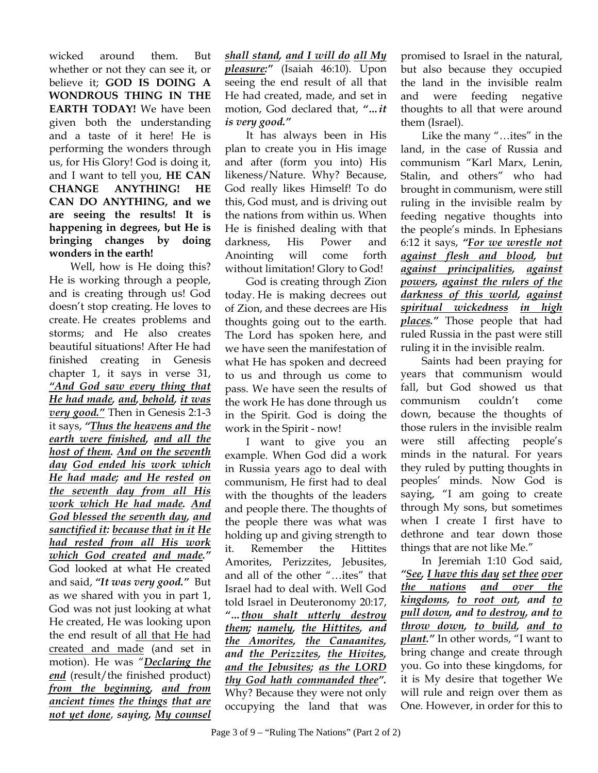wicked around them. But whether or not they can see it, or believe it; **GOD IS DOING A WONDROUS THING IN THE EARTH TODAY!** We have been given both the understanding and a taste of it here! He is performing the wonders through us, for His Glory! God is doing it, and I want to tell you, **HE CAN CHANGE ANYTHING! HE CAN DO ANYTHING, and we are seeing the results! It is happening in degrees, but He is bringing changes by doing wonders in the earth!**

Well, how is He doing this? He is working through a people, and is creating through us! God doesn't stop creating. He loves to create. He creates problems and storms; and He also creates beautiful situations! After He had finished creating in Genesis chapter 1, it says in verse 31, *"And God saw every thing that He had made, and, behold, it was very good."* Then in Genesis 2:1-3 it says, *"Thus the heavens and the earth were finished, and all the host of them. And on the seventh day God ended his work which He had made; and He rested on the seventh day from all His work which He had made. And God blessed the seventh day, and sanctified it: because that in it He had rested from all His work which God created and made."* God looked at what He created and said, *"It was very good."* But as we shared with you in part 1, God was not just looking at what He created, He was looking upon the end result of all that He had created and made (and set in motion). He was "*Declaring the end* (result/the finished product) *from the beginning, and from ancient times the things that are not yet done*, *saying, My counsel* 

*shall stand, and I will do all My pleasure:"* (Isaiah 46:10). Upon seeing the end result of all that He had created, made, and set in motion, God declared that, *"…it is very good."* 

It has always been in His plan to create you in His image and after (form you into) His likeness/Nature. Why? Because, God really likes Himself! To do this, God must, and is driving out the nations from within us. When He is finished dealing with that darkness, His Power and Anointing will come forth without limitation! Glory to God!

God is creating through Zion today. He is making decrees out of Zion, and these decrees are His thoughts going out to the earth. The Lord has spoken here, and we have seen the manifestation of what He has spoken and decreed to us and through us come to pass. We have seen the results of the work He has done through us in the Spirit. God is doing the work in the Spirit - now!

I want to give you an example. When God did a work in Russia years ago to deal with communism, He first had to deal with the thoughts of the leaders and people there. The thoughts of the people there was what was holding up and giving strength to it. Remember the Hittites Amorites, Perizzites, Jebusites, and all of the other "…ites" that Israel had to deal with. Well God told Israel in Deuteronomy 20:17, *"…thou shalt utterly destroy them; namely, the Hittites, and the Amorites, the Canaanites, and the Perizzites, the Hivites, and the Jebusites; as the LORD thy God hath commanded thee".* Why? Because they were not only occupying the land that was

promised to Israel in the natural, but also because they occupied the land in the invisible realm and were feeding negative thoughts to all that were around them (Israel).

Like the many "…ites" in the land, in the case of Russia and communism "Karl Marx, Lenin, Stalin, and others" who had brought in communism, were still ruling in the invisible realm by feeding negative thoughts into the people's minds. In Ephesians 6:12 it says, *"For we wrestle not against flesh and blood, but against principalities, against powers, against the rulers of the darkness of this world, against spiritual wickedness in high places."* Those people that had ruled Russia in the past were still ruling it in the invisible realm.

Saints had been praying for years that communism would fall, but God showed us that communism couldn't come down, because the thoughts of those rulers in the invisible realm were still affecting people's minds in the natural. For years they ruled by putting thoughts in peoples' minds. Now God is saying, "I am going to create through My sons, but sometimes when I create I first have to dethrone and tear down those things that are not like Me."

In Jeremiah 1:10 God said, *"See, I have this day set thee over the nations and over the kingdoms, to root out, and to pull down, and to destroy, and to throw down, to build, and to plant."* In other words, "I want to bring change and create through you. Go into these kingdoms, for it is My desire that together We will rule and reign over them as One. However, in order for this to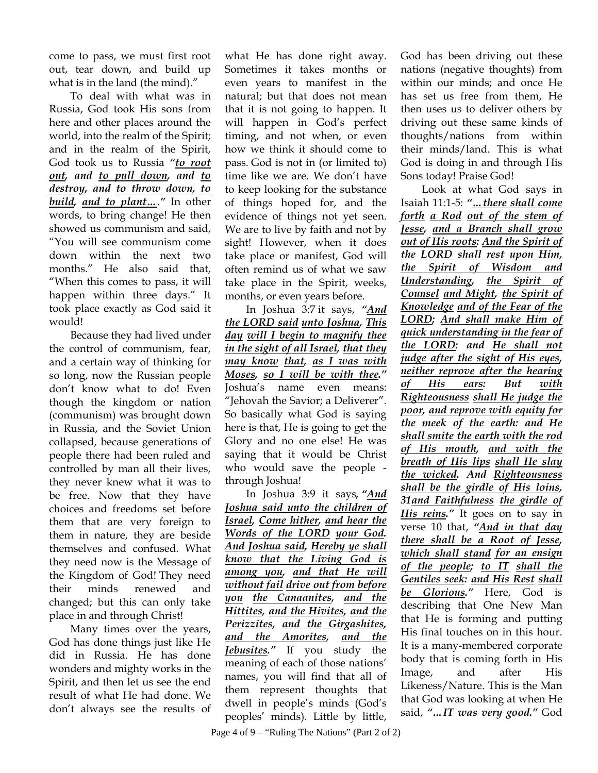come to pass, we must first root out, tear down, and build up what is in the land (the mind)."

To deal with what was in Russia, God took His sons from here and other places around the world, into the realm of the Spirit; and in the realm of the Spirit, God took us to Russia *"to root out, and to pull down, and to destroy, and to throw down, to build, and to plant…*.*"* In other words, to bring change! He then showed us communism and said, "You will see communism come down within the next two months." He also said that, "When this comes to pass, it will happen within three days." It took place exactly as God said it would!

Because they had lived under the control of communism, fear, and a certain way of thinking for so long, now the Russian people don't know what to do! Even though the kingdom or nation (communism) was brought down in Russia, and the Soviet Union collapsed, because generations of people there had been ruled and controlled by man all their lives, they never knew what it was to be free. Now that they have choices and freedoms set before them that are very foreign to them in nature, they are beside themselves and confused. What they need now is the Message of the Kingdom of God! They need their minds renewed and changed; but this can only take place in and through Christ!

Many times over the years, God has done things just like He did in Russia. He has done wonders and mighty works in the Spirit, and then let us see the end result of what He had done. We don't always see the results of

what He has done right away. Sometimes it takes months or even years to manifest in the natural; but that does not mean that it is not going to happen. It will happen in God's perfect timing, and not when, or even how we think it should come to pass. God is not in (or limited to) time like we are. We don't have to keep looking for the substance of things hoped for, and the evidence of things not yet seen. We are to live by faith and not by sight! However, when it does take place or manifest, God will often remind us of what we saw take place in the Spirit, weeks, months, or even years before.

In Joshua 3:7 it says, *"And the LORD said unto Joshua, This day will I begin to magnify thee in the sight of all Israel, that they may know that, as I was with Moses, so I will be with thee."* Joshua's name even means: "Jehovah the Savior; a Deliverer". So basically what God is saying here is that, He is going to get the Glory and no one else! He was saying that it would be Christ who would save the people through Joshua!

In Joshua 3:9 it says*, "And Joshua said unto the children of Israel, Come hither, and hear the Words of the LORD your God. And Joshua said, Hereby ye shall know that the Living God is among you, and that He will without fail drive out from before you the Canaanites, and the Hittites, and the Hivites, and the Perizzites, and the Girgashites, and the Amorites, and the Jebusites."* If you study the meaning of each of those nations' names, you will find that all of them represent thoughts that dwell in people's minds (God's peoples' minds). Little by little,

God has been driving out these nations (negative thoughts) from within our minds; and once He has set us free from them, He then uses us to deliver others by driving out these same kinds of thoughts/nations from within their minds/land. This is what God is doing in and through His Sons today! Praise God!

Look at what God says in Isaiah 11:1-5: *"…there shall come forth a Rod out of the stem of Jesse, and a Branch shall grow out of His roots: And the Spirit of the LORD shall rest upon Him, the Spirit of Wisdom and Understanding, the Spirit of Counsel and Might, the Spirit of Knowledge and of the Fear of the LORD; And shall make Him of quick understanding in the fear of the LORD: and He shall not judge after the sight of His eyes, neither reprove after the hearing of His ears: But with Righteousness shall He judge the poor, and reprove with equity for the meek of the earth: and He shall smite the earth with the rod of His mouth, and with the breath of His lips shall He slay the wicked. And Righteousness shall be the girdle of His loins, 31and Faithfulness the girdle of His reins."* It goes on to say in verse 10 that, *"And in that day there shall be a Root of Jesse, which shall stand for an ensign of the people; to IT shall the Gentiles seek: and His Rest shall be Glorious."* Here, God is describing that One New Man that He is forming and putting His final touches on in this hour. It is a many-membered corporate body that is coming forth in His Image, and after His Likeness/Nature. This is the Man that God was looking at when He said, *"…IT was very good."* God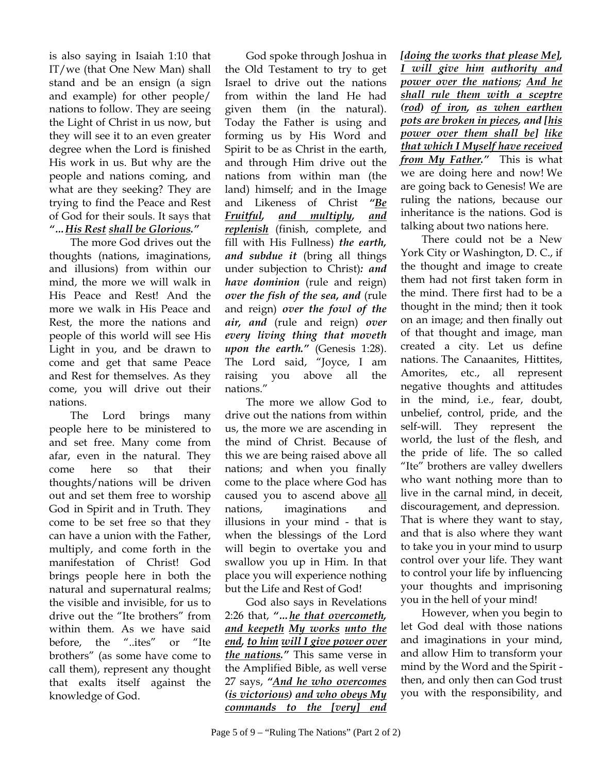is also saying in Isaiah 1:10 that IT/we (that One New Man) shall stand and be an ensign (a sign and example) for other people/ nations to follow. They are seeing the Light of Christ in us now, but they will see it to an even greater degree when the Lord is finished His work in us. But why are the people and nations coming, and what are they seeking? They are trying to find the Peace and Rest of God for their souls. It says that *"…His Rest shall be Glorious."*

The more God drives out the thoughts (nations, imaginations, and illusions) from within our mind, the more we will walk in His Peace and Rest! And the more we walk in His Peace and Rest, the more the nations and people of this world will see His Light in you, and be drawn to come and get that same Peace and Rest for themselves. As they come, you will drive out their nations.

The Lord brings many people here to be ministered to and set free. Many come from afar, even in the natural. They come here so that their thoughts/nations will be driven out and set them free to worship God in Spirit and in Truth. They come to be set free so that they can have a union with the Father, multiply, and come forth in the manifestation of Christ! God brings people here in both the natural and supernatural realms; the visible and invisible, for us to drive out the "Ite brothers" from within them. As we have said before, the "..ites" or "Ite brothers" (as some have come to call them), represent any thought that exalts itself against the knowledge of God.

God spoke through Joshua in the Old Testament to try to get Israel to drive out the nations from within the land He had given them (in the natural). Today the Father is using and forming us by His Word and Spirit to be as Christ in the earth, and through Him drive out the nations from within man (the land) himself; and in the Image and Likeness of Christ *"Be Fruitful, and multiply, and replenish* (finish, complete, and fill with His Fullness) *the earth, and subdue it* (bring all things under subjection to Christ)*: and have dominion* (rule and reign) *over the fish of the sea, and* (rule and reign) *over the fowl of the air, and* (rule and reign) *over every living thing that moveth upon the earth."* (Genesis 1:28). The Lord said, "Joyce, I am raising you above all the nations."

The more we allow God to drive out the nations from within us, the more we are ascending in the mind of Christ. Because of this we are being raised above all nations; and when you finally come to the place where God has caused you to ascend above all nations, imaginations and illusions in your mind - that is when the blessings of the Lord will begin to overtake you and swallow you up in Him. In that place you will experience nothing but the Life and Rest of God!

God also says in Revelations 2:26 that, *"…he that overcometh, and keepeth My works unto the end, to him will I give power over the nations."* This same verse in the Amplified Bible, as well verse 27 says, *"And he who overcomes (is victorious) and who obeys My commands to the [very] end*

*[doing the works that please Me], I will give him authority and power over the nations; And he shall rule them with a sceptre (rod) of iron, as when earthen pots are broken in pieces, and [his power over them shall be] like that which I Myself have received from My Father."* This is what we are doing here and now! We are going back to Genesis! We are ruling the nations, because our inheritance is the nations. God is talking about two nations here.

There could not be a New York City or Washington, D. C., if the thought and image to create them had not first taken form in the mind. There first had to be a thought in the mind; then it took on an image; and then finally out of that thought and image, man created a city. Let us define nations. The Canaanites, Hittites, Amorites, etc., all represent negative thoughts and attitudes in the mind, i.e., fear, doubt, unbelief, control, pride, and the self-will. They represent the world, the lust of the flesh, and the pride of life. The so called "Ite" brothers are valley dwellers who want nothing more than to live in the carnal mind, in deceit, discouragement, and depression. That is where they want to stay, and that is also where they want to take you in your mind to usurp control over your life. They want to control your life by influencing your thoughts and imprisoning you in the hell of your mind!

However, when you begin to let God deal with those nations and imaginations in your mind, and allow Him to transform your mind by the Word and the Spirit then, and only then can God trust you with the responsibility, and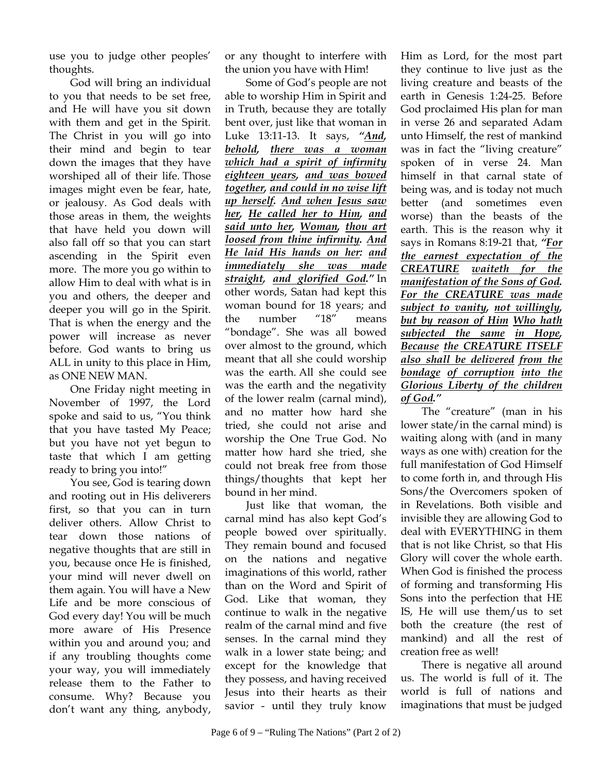use you to judge other peoples' thoughts.

God will bring an individual to you that needs to be set free, and He will have you sit down with them and get in the Spirit. The Christ in you will go into their mind and begin to tear down the images that they have worshiped all of their life. Those images might even be fear, hate, or jealousy. As God deals with those areas in them, the weights that have held you down will also fall off so that you can start ascending in the Spirit even more. The more you go within to allow Him to deal with what is in you and others, the deeper and deeper you will go in the Spirit. That is when the energy and the power will increase as never before. God wants to bring us ALL in unity to this place in Him, as ONE NEW MAN.

One Friday night meeting in November of 1997, the Lord spoke and said to us, "You think that you have tasted My Peace; but you have not yet begun to taste that which I am getting ready to bring you into!"

You see, God is tearing down and rooting out in His deliverers first, so that you can in turn deliver others. Allow Christ to tear down those nations of negative thoughts that are still in you, because once He is finished, your mind will never dwell on them again. You will have a New Life and be more conscious of God every day! You will be much more aware of His Presence within you and around you; and if any troubling thoughts come your way, you will immediately release them to the Father to consume. Why? Because you don't want any thing, anybody,

or any thought to interfere with the union you have with Him!

Some of God's people are not able to worship Him in Spirit and in Truth, because they are totally bent over, just like that woman in Luke 13:11-13. It says, *"And, behold, there was a woman which had a spirit of infirmity eighteen years, and was bowed together, and could in no wise lift up herself. And when Jesus saw her, He called her to Him, and said unto her, Woman, thou art loosed from thine infirmity. And He laid His hands on her: and immediately she was made straight, and glorified God."* In other words, Satan had kept this woman bound for 18 years; and the number "18" means "bondage". She was all bowed over almost to the ground, which meant that all she could worship was the earth. All she could see was the earth and the negativity of the lower realm (carnal mind), and no matter how hard she tried, she could not arise and worship the One True God. No matter how hard she tried, she could not break free from those things/thoughts that kept her bound in her mind.

Just like that woman, the carnal mind has also kept God's people bowed over spiritually. They remain bound and focused on the nations and negative imaginations of this world, rather than on the Word and Spirit of God. Like that woman, they continue to walk in the negative realm of the carnal mind and five senses. In the carnal mind they walk in a lower state being; and except for the knowledge that they possess, and having received Jesus into their hearts as their savior - until they truly know

Him as Lord, for the most part they continue to live just as the living creature and beasts of the earth in Genesis 1:24-25. Before God proclaimed His plan for man in verse 26 and separated Adam unto Himself, the rest of mankind was in fact the "living creature" spoken of in verse 24. Man himself in that carnal state of being was, and is today not much better (and sometimes even worse) than the beasts of the earth. This is the reason why it says in Romans 8:19-21 that, *"For the earnest expectation of the CREATURE waiteth for the manifestation of the Sons of God. For the CREATURE was made subject to vanity, not willingly, but by reason of Him Who hath subjected the same in Hope, Because the CREATURE ITSELF also shall be delivered from the bondage of corruption into the Glorious Liberty of the children of God."*

The "creature" (man in his lower state/in the carnal mind) is waiting along with (and in many ways as one with) creation for the full manifestation of God Himself to come forth in, and through His Sons/the Overcomers spoken of in Revelations. Both visible and invisible they are allowing God to deal with EVERYTHING in them that is not like Christ, so that His Glory will cover the whole earth. When God is finished the process of forming and transforming His Sons into the perfection that HE IS, He will use them/us to set both the creature (the rest of mankind) and all the rest of creation free as well!

There is negative all around us. The world is full of it. The world is full of nations and imaginations that must be judged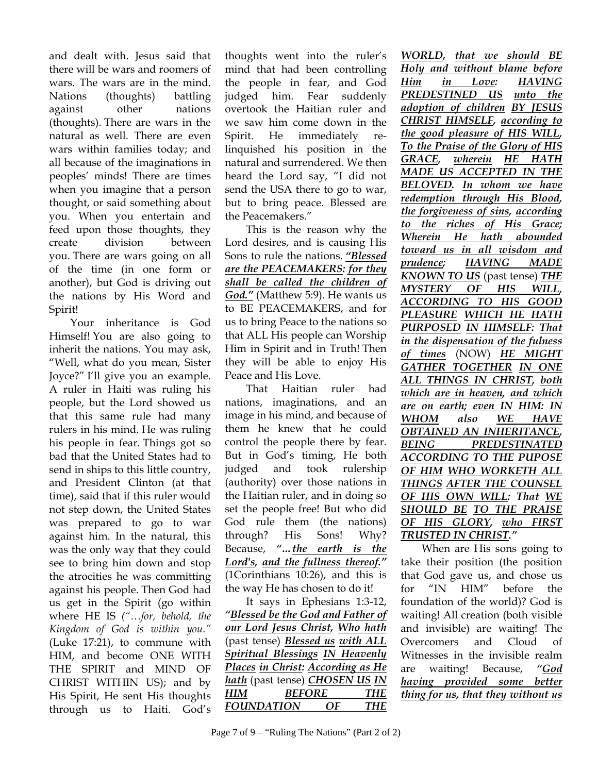and dealt with. Jesus said that there will be wars and roomers of wars. The wars are in the mind. Nations (thoughts) battling against other nations (thoughts). There are wars in the natural as well. There are even wars within families today; and all because of the imaginations in peoples' minds! There are times when you imagine that a person thought, or said something about you. When you entertain and feed upon those thoughts, they create division between you. There are wars going on all of the time (in one form or another), but God is driving out the nations by His Word and Spirit!

Your inheritance is God Himself! You are also going to inherit the nations. You may ask, "Well, what do you mean, Sister Joyce?" I'll give you an example. A ruler in Haiti was ruling his people, but the Lord showed us that this same rule had many rulers in his mind. He was ruling his people in fear. Things got so bad that the United States had to send in ships to this little country, and President Clinton (at that time), said that if this ruler would not step down, the United States was prepared to go to war against him. In the natural, this was the only way that they could see to bring him down and stop the atrocities he was committing against his people. Then God had us get in the Spirit (go within where HE IS *("…for, behold, the Kingdom of God is within you."* (Luke 17:21), to commune with HIM, and become ONE WITH THE SPIRIT and MIND OF CHRIST WITHIN US); and by His Spirit, He sent His thoughts through us to Haiti. God's

thoughts went into the ruler's mind that had been controlling the people in fear, and God judged him. Fear suddenly overtook the Haitian ruler and we saw him come down in the Spirit. He immediately relinquished his position in the natural and surrendered. We then heard the Lord say, "I did not send the USA there to go to war, but to bring peace. Blessed are the Peacemakers."

This is the reason why the Lord desires, and is causing His Sons to rule the nations. *"Blessed are the PEACEMAKERS: for they shall be called the children of God."* (Matthew 5:9). He wants us to BE PEACEMAKERS, and for us to bring Peace to the nations so that ALL His people can Worship Him in Spirit and in Truth! Then they will be able to enjoy His Peace and His Love.

That Haitian ruler had nations, imaginations, and an image in his mind, and because of them he knew that he could control the people there by fear. But in God's timing, He both judged and took rulership (authority) over those nations in the Haitian ruler, and in doing so set the people free! But who did God rule them (the nations) through? His Sons! Why? Because, *"…the earth is the Lord's, and the fullness thereof."* (1Corinthians 10:26), and this is the way He has chosen to do it!

It says in Ephesians 1:3-12, *"Blessed be the God and Father of our Lord Jesus Christ, Who hath*  (past tense) *Blessed us with ALL Spiritual Blessings IN Heavenly Places in Christ: According as He hath* (past tense) *CHOSEN US IN HIM BEFORE THE FOUNDATION OF THE* 

*WORLD, that we should BE Holy and without blame before Him in Love: HAVING PREDESTINED US unto the adoption of children BY JESUS CHRIST HIMSELF, according to the good pleasure of HIS WILL, To the Praise of the Glory of HIS GRACE, wherein HE HATH MADE US ACCEPTED IN THE BELOVED. In whom we have redemption through His Blood, the forgiveness of sins, according to the riches of His Grace; Wherein He hath abounded toward us in all wisdom and prudence; HAVING MADE KNOWN TO US* (past tense) *THE MYSTERY OF HIS WILL, ACCORDING TO HIS GOOD PLEASURE WHICH HE HATH PURPOSED IN HIMSELF: That in the dispensation of the fulness of times* (NOW) *HE MIGHT GATHER TOGETHER IN ONE ALL THINGS IN CHRIST, both which are in heaven, and which are on earth; even IN HIM: IN WHOM also WE HAVE OBTAINED AN INHERITANCE, BEING PREDESTINATED ACCORDING TO THE PUPOSE OF HIM WHO WORKETH ALL THINGS AFTER THE COUNSEL OF HIS OWN WILL: That WE SHOULD BE TO THE PRAISE OF HIS GLORY, who FIRST TRUSTED IN CHRIST."* 

When are His sons going to take their position (the position that God gave us, and chose us for "IN HIM" before the foundation of the world)? God is waiting! All creation (both visible and invisible) are waiting! The Overcomers and Cloud of Witnesses in the invisible realm are waiting! Because, *"God having provided some better thing for us, that they without us*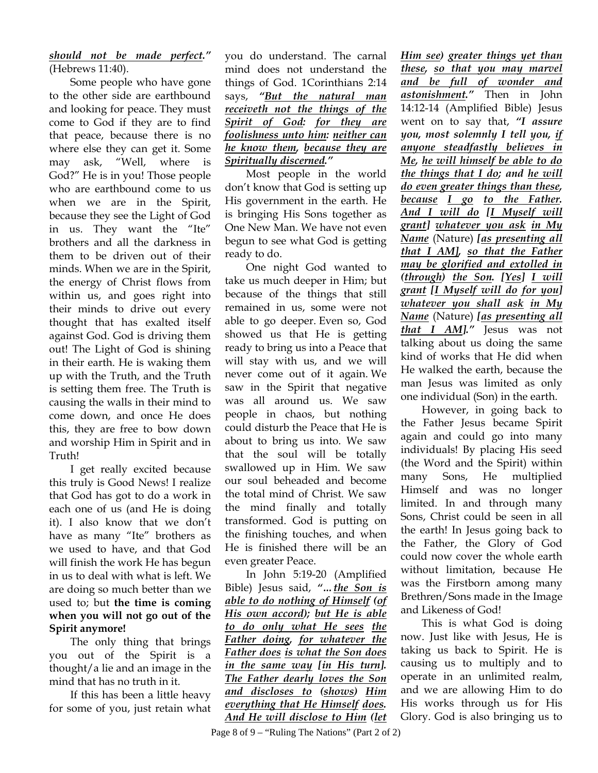## *should not be made perfect."* (Hebrews 11:40).

Some people who have gone to the other side are earthbound and looking for peace. They must come to God if they are to find that peace, because there is no where else they can get it. Some may ask, "Well, where is God?" He is in you! Those people who are earthbound come to us when we are in the Spirit, because they see the Light of God in us. They want the "Ite" brothers and all the darkness in them to be driven out of their minds. When we are in the Spirit, the energy of Christ flows from within us, and goes right into their minds to drive out every thought that has exalted itself against God. God is driving them out! The Light of God is shining in their earth. He is waking them up with the Truth, and the Truth is setting them free. The Truth is causing the walls in their mind to come down, and once He does this, they are free to bow down and worship Him in Spirit and in Truth!

I get really excited because this truly is Good News! I realize that God has got to do a work in each one of us (and He is doing it). I also know that we don't have as many "Ite" brothers as we used to have, and that God will finish the work He has begun in us to deal with what is left. We are doing so much better than we used to; but **the time is coming when you will not go out of the Spirit anymore!**

The only thing that brings you out of the Spirit is a thought/a lie and an image in the mind that has no truth in it.

If this has been a little heavy for some of you, just retain what

you do understand. The carnal mind does not understand the things of God. 1Corinthians 2:14 says, *"But the natural man receiveth not the things of the Spirit of God: for they are foolishness unto him: neither can he know them, because they are Spiritually discerned."* 

Most people in the world don't know that God is setting up His government in the earth. He is bringing His Sons together as One New Man. We have not even begun to see what God is getting ready to do.

One night God wanted to take us much deeper in Him; but because of the things that still remained in us, some were not able to go deeper. Even so, God showed us that He is getting ready to bring us into a Peace that will stay with us, and we will never come out of it again. We saw in the Spirit that negative was all around us. We saw people in chaos, but nothing could disturb the Peace that He is about to bring us into. We saw that the soul will be totally swallowed up in Him. We saw our soul beheaded and become the total mind of Christ. We saw the mind finally and totally transformed. God is putting on the finishing touches, and when He is finished there will be an even greater Peace.

In John 5:19-20 (Amplified Bible) Jesus said, *"…the Son is able to do nothing of Himself (of His own accord); but He is able to do only what He sees the Father doing, for whatever the Father does is what the Son does in the same way [in His turn]. The Father dearly loves the Son and discloses to (shows) Him everything that He Himself does. And He will disclose to Him (let* 

*Him see) greater things yet than these, so that you may marvel and be full of wonder and astonishment."* Then in John 14:12-14 (Amplified Bible) Jesus went on to say that, *"I assure you, most solemnly I tell you, if anyone steadfastly believes in Me, he will himself be able to do the things that I do; and he will do even greater things than these, because I go to the Father. And I will do [I Myself will grant] whatever you ask in My Name* (Nature) *[as presenting all that I AM], so that the Father may be glorified and extolled in (through) the Son. [Yes] I will grant [I Myself will do for you] whatever you shall ask in My Name* (Nature) *[as presenting all that I AM]."* Jesus was not talking about us doing the same kind of works that He did when He walked the earth, because the man Jesus was limited as only one individual (Son) in the earth.

However, in going back to the Father Jesus became Spirit again and could go into many individuals! By placing His seed (the Word and the Spirit) within many Sons, He multiplied Himself and was no longer limited. In and through many Sons, Christ could be seen in all the earth! In Jesus going back to the Father, the Glory of God could now cover the whole earth without limitation, because He was the Firstborn among many Brethren/Sons made in the Image and Likeness of God!

This is what God is doing now. Just like with Jesus, He is taking us back to Spirit. He is causing us to multiply and to operate in an unlimited realm, and we are allowing Him to do His works through us for His Glory. God is also bringing us to